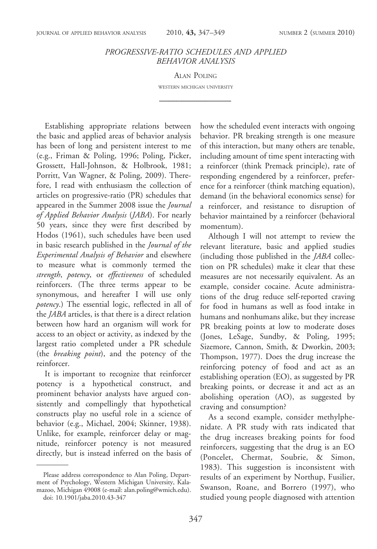## PROGRESSIVE-RATIO SCHEDULES AND APPLIED BEHAVIOR ANALYSIS

## ALAN POLING

WESTERN MICHIGAN UNIVERSITY

Establishing appropriate relations between the basic and applied areas of behavior analysis has been of long and persistent interest to me (e.g., Friman & Poling, 1996; Poling, Picker, Grossett, Hall-Johnson, & Holbrook, 1981; Porritt, Van Wagner, & Poling, 2009). Therefore, I read with enthusiasm the collection of articles on progressive-ratio (PR) schedules that appeared in the Summer 2008 issue the Journal of Applied Behavior Analysis (JABA). For nearly 50 years, since they were first described by Hodos (1961), such schedules have been used in basic research published in the Journal of the Experimental Analysis of Behavior and elsewhere to measure what is commonly termed the strength, potency, or effectiveness of scheduled reinforcers. (The three terms appear to be synonymous, and hereafter I will use only potency.) The essential logic, reflected in all of the JABA articles, is that there is a direct relation between how hard an organism will work for access to an object or activity, as indexed by the largest ratio completed under a PR schedule (the breaking point), and the potency of the reinforcer.

It is important to recognize that reinforcer potency is a hypothetical construct, and prominent behavior analysts have argued consistently and compellingly that hypothetical constructs play no useful role in a science of behavior (e.g., Michael, 2004; Skinner, 1938). Unlike, for example, reinforcer delay or magnitude, reinforcer potency is not measured directly, but is instead inferred on the basis of how the scheduled event interacts with ongoing behavior. PR breaking strength is one measure of this interaction, but many others are tenable, including amount of time spent interacting with a reinforcer (think Premack principle), rate of responding engendered by a reinforcer, preference for a reinforcer (think matching equation), demand (in the behavioral economics sense) for a reinforcer, and resistance to disruption of behavior maintained by a reinforcer (behavioral momentum).

Although I will not attempt to review the relevant literature, basic and applied studies (including those published in the JABA collection on PR schedules) make it clear that these measures are not necessarily equivalent. As an example, consider cocaine. Acute administrations of the drug reduce self-reported craving for food in humans as well as food intake in humans and nonhumans alike, but they increase PR breaking points at low to moderate doses (Jones, LeSage, Sundby, & Poling, 1995; Sizemore, Cannon, Smith, & Dworkin, 2003; Thompson, 1977). Does the drug increase the reinforcing potency of food and act as an establishing operation (EO), as suggested by PR breaking points, or decrease it and act as an abolishing operation (AO), as suggested by craving and consumption?

As a second example, consider methylphenidate. A PR study with rats indicated that the drug increases breaking points for food reinforcers, suggesting that the drug is an EO (Poncelet, Chermat, Soubrie, & Simon, 1983). This suggestion is inconsistent with results of an experiment by Northup, Fusilier, Swanson, Roane, and Borrero (1997), who studied young people diagnosed with attention

Please address correspondence to Alan Poling, Department of Psychology, Western Michigan University, Kalamazoo, Michigan 49008 (e-mail: alan.poling@wmich.edu).

doi: 10.1901/jaba.2010.43-347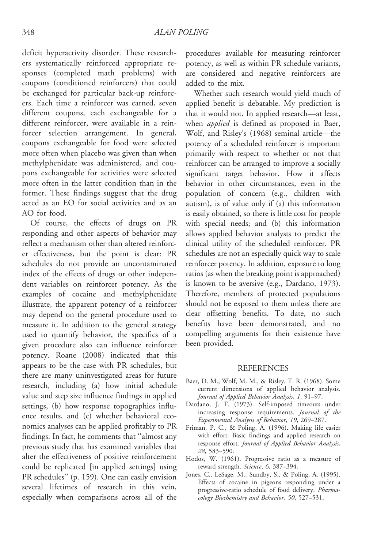deficit hyperactivity disorder. These researchers systematically reinforced appropriate responses (completed math problems) with coupons (conditioned reinforcers) that could be exchanged for particular back-up reinforcers. Each time a reinforcer was earned, seven different coupons, each exchangeable for a different reinforcer, were available in a reinforcer selection arrangement. In general, coupons exchangeable for food were selected more often when placebo was given than when methylphenidate was administered, and coupons exchangeable for activities were selected more often in the latter condition than in the former. These findings suggest that the drug acted as an EO for social activities and as an AO for food.

Of course, the effects of drugs on PR responding and other aspects of behavior may reflect a mechanism other than altered reinforcer effectiveness, but the point is clear: PR schedules do not provide an uncontaminated index of the effects of drugs or other independent variables on reinforcer potency. As the examples of cocaine and methylphenidate illustrate, the apparent potency of a reinforcer may depend on the general procedure used to measure it. In addition to the general strategy used to quantify behavior, the specifics of a given procedure also can influence reinforcer potency. Roane (2008) indicated that this appears to be the case with PR schedules, but there are many uninvestigated areas for future research, including (a) how initial schedule value and step size influence findings in applied settings, (b) how response topographies influence results, and (c) whether behavioral economics analyses can be applied profitably to PR findings. In fact, he comments that ''almost any previous study that has examined variables that alter the effectiveness of positive reinforcement could be replicated [in applied settings] using PR schedules'' (p. 159). One can easily envision several lifetimes of research in this vein, especially when comparisons across all of the

procedures available for measuring reinforcer potency, as well as within PR schedule variants, are considered and negative reinforcers are added to the mix.

Whether such research would yield much of applied benefit is debatable. My prediction is that it would not. In applied research—at least, when *applied* is defined as proposed in Baer, Wolf, and Risley's (1968) seminal article—the potency of a scheduled reinforcer is important primarily with respect to whether or not that reinforcer can be arranged to improve a socially significant target behavior. How it affects behavior in other circumstances, even in the population of concern (e.g., children with autism), is of value only if (a) this information is easily obtained, so there is little cost for people with special needs; and (b) this information allows applied behavior analysts to predict the clinical utility of the scheduled reinforcer. PR schedules are not an especially quick way to scale reinforcer potency. In addition, exposure to long ratios (as when the breaking point is approached) is known to be aversive (e.g., Dardano, 1973). Therefore, members of protected populations should not be exposed to them unless there are clear offsetting benefits. To date, no such benefits have been demonstrated, and no compelling arguments for their existence have been provided.

## **REFERENCES**

- Baer, D. M., Wolf, M. M., & Risley, T. R. (1968). Some current dimensions of applied behavior analysis. Journal of Applied Behavior Analysis, 1, 91–97.
- Dardano, J. F. (1973). Self-imposed timeouts under increasing response requirements. Journal of the Experimental Analysis of Behavior, 19, 269–287.
- Friman, P. C., & Poling, A. (1996). Making life easier with effort: Basic findings and applied research on response effort. Journal of Applied Behavior Analysis, 28, 583–590.
- Hodos, W. (1961). Progressive ratio as a measure of reward strength. Science, 6, 387–394.
- Jones, C., LeSage, M., Sundby, S., & Poling, A. (1995). Effects of cocaine in pigeons responding under a progressive-ratio schedule of food delivery. Pharmacology Biochemistry and Behavior, 50, 527–531.